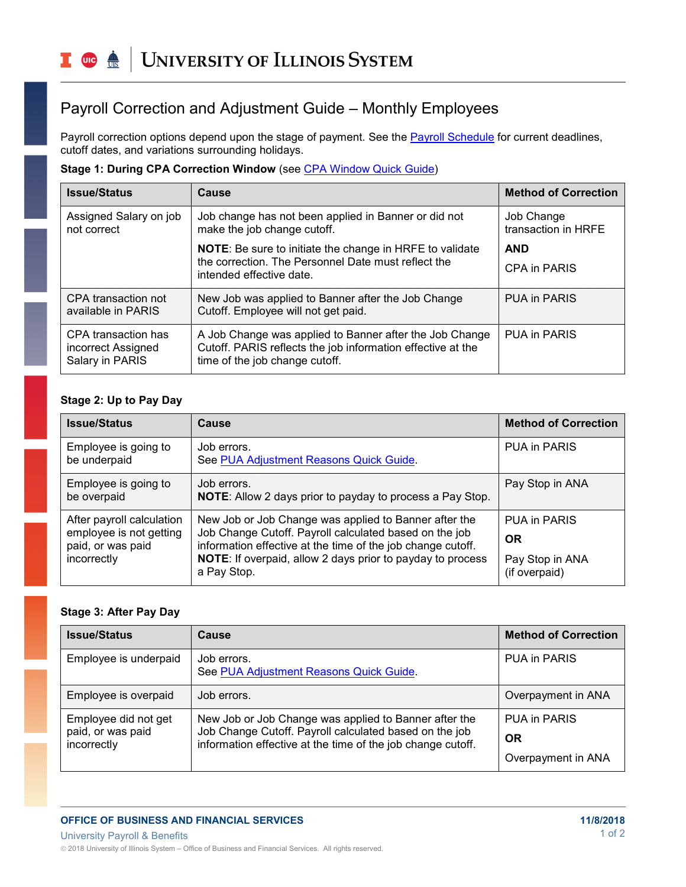# Payroll Correction and Adjustment Guide – Monthly Employees

Payroll correction options depend upon the stage of payment. See the **Payroll Schedule** for current deadlines, cutoff dates, and variations surrounding holidays.

#### **Stage 1: During CPA Correction Window** (see [CPA Window Quick Guide\)](https://www.obfs.uillinois.edu/common/pages/DisplayFile.aspx?itemId=253260)

| <b>Issue/Status</b>                                          | Cause                                                                                                                                                    | <b>Method of Correction</b>       |
|--------------------------------------------------------------|----------------------------------------------------------------------------------------------------------------------------------------------------------|-----------------------------------|
| Assigned Salary on job<br>not correct                        | Job change has not been applied in Banner or did not<br>make the job change cutoff.                                                                      | Job Change<br>transaction in HRFE |
|                                                              | <b>NOTE:</b> Be sure to initiate the change in HRFE to validate<br>the correction. The Personnel Date must reflect the<br>intended effective date.       | <b>AND</b>                        |
|                                                              |                                                                                                                                                          | <b>CPA in PARIS</b>               |
| CPA transaction not<br>available in PARIS                    | New Job was applied to Banner after the Job Change<br>Cutoff. Employee will not get paid.                                                                | PUA in PARIS                      |
| CPA transaction has<br>incorrect Assigned<br>Salary in PARIS | A Job Change was applied to Banner after the Job Change<br>Cutoff. PARIS reflects the job information effective at the<br>time of the job change cutoff. | <b>PUA in PARIS</b>               |

## **Stage 2: Up to Pay Day**

| <b>Issue/Status</b>                                                                      | Cause                                                                                                                                                                                                                                                       | <b>Method of Correction</b>                                   |
|------------------------------------------------------------------------------------------|-------------------------------------------------------------------------------------------------------------------------------------------------------------------------------------------------------------------------------------------------------------|---------------------------------------------------------------|
| Employee is going to<br>be underpaid                                                     | Job errors.<br>See PUA Adjustment Reasons Quick Guide.                                                                                                                                                                                                      | <b>PUA in PARIS</b>                                           |
| Employee is going to<br>be overpaid                                                      | Job errors.<br><b>NOTE:</b> Allow 2 days prior to payday to process a Pay Stop.                                                                                                                                                                             | Pay Stop in ANA                                               |
| After payroll calculation<br>employee is not getting<br>paid, or was paid<br>incorrectly | New Job or Job Change was applied to Banner after the<br>Job Change Cutoff. Payroll calculated based on the job<br>information effective at the time of the job change cutoff.<br>NOTE: If overpaid, allow 2 days prior to payday to process<br>a Pay Stop. | PUA in PARIS<br><b>OR</b><br>Pay Stop in ANA<br>(if overpaid) |

#### **Stage 3: After Pay Day**

| <b>Issue/Status</b>                                      | Cause                                                                                                                                                                          | <b>Method of Correction</b> |
|----------------------------------------------------------|--------------------------------------------------------------------------------------------------------------------------------------------------------------------------------|-----------------------------|
| Employee is underpaid                                    | Job errors.<br>See PUA Adjustment Reasons Quick Guide.                                                                                                                         | PUA in PARIS                |
| Employee is overpaid                                     | Job errors.                                                                                                                                                                    | Overpayment in ANA          |
| Employee did not get<br>paid, or was paid<br>incorrectly | New Job or Job Change was applied to Banner after the<br>Job Change Cutoff. Payroll calculated based on the job<br>information effective at the time of the job change cutoff. | PUA in PARIS                |
|                                                          |                                                                                                                                                                                | <b>OR</b>                   |
|                                                          |                                                                                                                                                                                | Overpayment in ANA          |